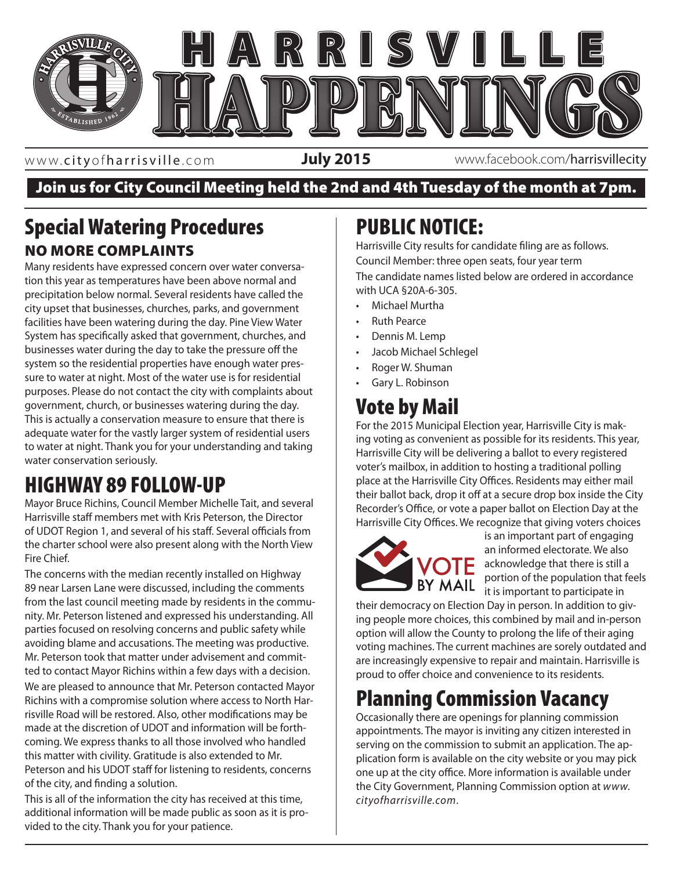

www. cityofharrisville .com

**July 2015** www.facebook.com/harrisvillecity

#### Join us for City Council Meeting held the 2nd and 4th Tuesday of the month at 7pm.

### Special Watering Procedures NO MORE COMPLAINTS

Many residents have expressed concern over water conversation this year as temperatures have been above normal and precipitation below normal. Several residents have called the city upset that businesses, churches, parks, and government facilities have been watering during the day. Pine View Water System has specifically asked that government, churches, and businesses water during the day to take the pressure off the system so the residential properties have enough water pressure to water at night. Most of the water use is for residential purposes. Please do not contact the city with complaints about government, church, or businesses watering during the day. This is actually a conservation measure to ensure that there is adequate water for the vastly larger system of residential users to water at night. Thank you for your understanding and taking water conservation seriously.

## HIGHWAY 89 FOLLOW-UP

Mayor Bruce Richins, Council Member Michelle Tait, and several Harrisville staff members met with Kris Peterson, the Director of UDOT Region 1, and several of his staff. Several officials from the charter school were also present along with the North View Fire Chief.

The concerns with the median recently installed on Highway 89 near Larsen Lane were discussed, including the comments from the last council meeting made by residents in the community. Mr. Peterson listened and expressed his understanding. All parties focused on resolving concerns and public safety while avoiding blame and accusations. The meeting was productive. Mr. Peterson took that matter under advisement and committed to contact Mayor Richins within a few days with a decision. We are pleased to announce that Mr. Peterson contacted Mayor Richins with a compromise solution where access to North Harrisville Road will be restored. Also, other modifications may be made at the discretion of UDOT and information will be forthcoming. We express thanks to all those involved who handled this matter with civility. Gratitude is also extended to Mr. Peterson and his UDOT staff for listening to residents, concerns of the city, and finding a solution.

This is all of the information the city has received at this time, additional information will be made public as soon as it is provided to the city. Thank you for your patience.

## PUBLIC NOTICE:

Harrisville City results for candidate filing are as follows. Council Member: three open seats, four year term The candidate names listed below are ordered in accordance with UCA §20A-6-305.

- Michael Murtha
- Ruth Pearce
- Dennis M. Lemp
- Jacob Michael Schlegel
- Roger W. Shuman
- Gary L. Robinson

# Vote by Mail

nd taking Tarrisville City will be delivering a ballot to every registered For the 2015 Municipal Election year, Harrisville City is making voting as convenient as possible for its residents. This year, voter's mailbox, in addition to hosting a traditional polling place at the Harrisville City Offices. Residents may either mail their ballot back, drop it off at a secure drop box inside the City Recorder's Office, or vote a paper ballot on Election Day at the Harrisville City Offices. We recognize that giving voters choices



is an important part of engaging an informed electorate. We also  $\Gamma$  acknowledge that there is still a portion of the population that feels it is important to participate in

their democracy on Election Day in person. In addition to giving people more choices, this combined by mail and in-person option will allow the County to prolong the life of their aging voting machines. The current machines are sorely outdated and are increasingly expensive to repair and maintain. Harrisville is proud to offer choice and convenience to its residents.

# Planning Commission Vacancy

Occasionally there are openings for planning commission appointments. The mayor is inviting any citizen interested in serving on the commission to submit an application. The application form is available on the city website or you may pick one up at the city office. More information is available under the City Government, Planning Commission option at *www. cityofharrisville.com*.